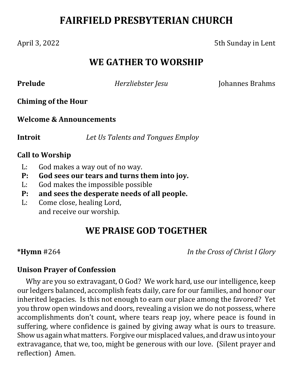# **FAIRFIELD PRESBYTERIAN CHURCH**

April 3, 2022 5th Sunday in Lent

# **WE GATHER TO WORSHIP**

**Prelude** *<i>Herzliebster Jesu* Johannes Brahms

### **Chiming of the Hour**

### **Welcome & Announcements**

**Introit** *Let Us Talents and Tongues Employ*

### **Call to Worship**

- L: God makes a way out of no way.
- **P: God sees our tears and turns them into joy.**
- L: God makes the impossible possible
- **P: and sees the desperate needs of all people.**
- L: Come close, healing Lord, and receive our worship.

# **WE PRAISE GOD TOGETHER**

**\*Hymn** #264 *In the Cross of Christ I Glory*

### **Unison Prayer of Confession**

Why are you so extravagant, O God? We work hard, use our intelligence, keep our ledgers balanced, accomplish feats daily, care for our families, and honor our inherited legacies. Is this not enough to earn our place among the favored? Yet you throw open windows and doors, revealing a vision we do not possess, where accomplishments don't count, where tears reap joy, where peace is found in suffering, where confidence is gained by giving away what is ours to treasure. Show us again what matters. Forgive our misplaced values, and draw us into your extravagance, that we, too, might be generous with our love. (Silent prayer and reflection) Amen.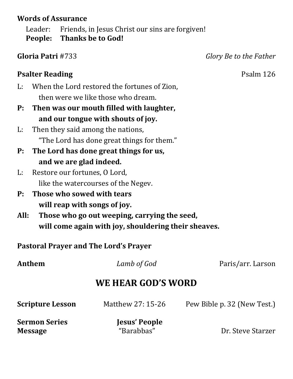## **Words of Assurance**

Leader: Friends, in Jesus Christ our sins are forgiven! **People: Thanks be to God!**

**Gloria Patri** #733 *Glory Be to the Father*

# **Psalter Reading** Psalm 126

- L: When the Lord restored the fortunes of Zion, then were we like those who dream.
- **P: Then was our mouth filled with laughter, and our tongue with shouts of joy.**
- L: Then they said among the nations, "The Lord has done great things for them."
- **P: The Lord has done great things for us, and we are glad indeed.**
- L: Restore our fortunes, O Lord, like the watercourses of the Negev.
- **P: Those who sowed with tears will reap with songs of joy.**
- **All: Those who go out weeping, carrying the seed, will come again with joy, shouldering their sheaves.**

**Pastoral Prayer and The Lord's Prayer**

| Anthem                  | Lamb of God       | Paris/arr. Larson           |
|-------------------------|-------------------|-----------------------------|
| WE HEAR GOD'S WORD      |                   |                             |
| <b>Scripture Lesson</b> | Matthew 27: 15-26 | Pew Bible p. 32 (New Test.) |

**Sermon Series Jesus' People**

**Message** "Barabbas" Dr. Steve Starzer